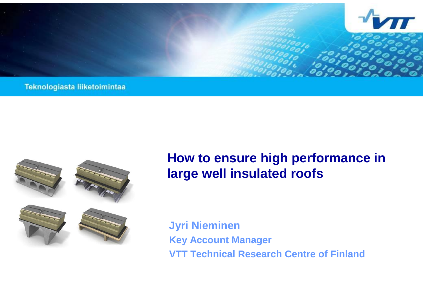

Teknologiasta liiketoimintaa



# **How to ensure high performance in large well insulated roofs**

**Jyri Nieminen Key Account Manager VTT Technical Research Centre of Finland**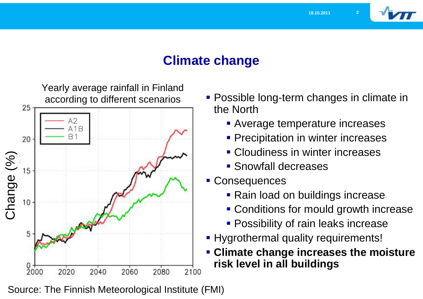

# **Climate change**



- **Possible long-term changes in climate in** the North
	- **Average temperature increases**
	- **Precipitation in winter increases**
	- Cloudiness in winter increases
	- **Snowfall decreases**
- Consequences
	- **Rain load on buildings increase**
	- **Conditions for mould growth increase**
	- **Possibility of rain leaks increase**
- **Hygrothermal quality requirements!**
- **Climate change increases the moisture risk level in all buildings**

Source: The Finnish Meteorological Institute (FMI)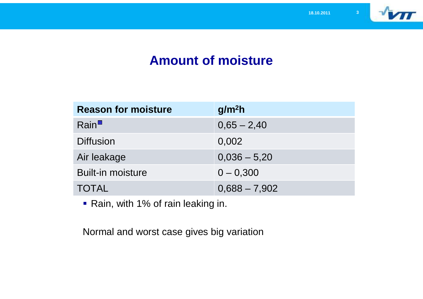

# **Amount of moisture**

| <b>Reason for moisture</b> | g/m <sup>2</sup> h |
|----------------------------|--------------------|
| Rain <sup>II</sup>         | $0,65 - 2,40$      |
| <b>Diffusion</b>           | 0,002              |
| Air leakage                | $0,036 - 5,20$     |
| <b>Built-in moisture</b>   | $0 - 0,300$        |
| <b>TOTAL</b>               | $0,688 - 7,902$    |

Rain, with 1% of rain leaking in.

Normal and worst case gives big variation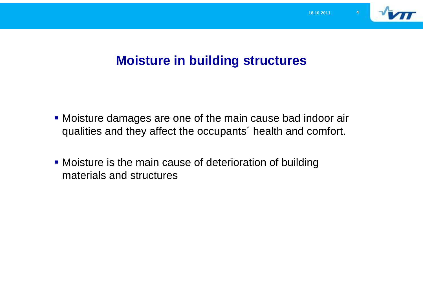

#### **Moisture in building structures**

- Moisture damages are one of the main cause bad indoor air qualities and they affect the occupants´ health and comfort.
- Moisture is the main cause of deterioration of building materials and structures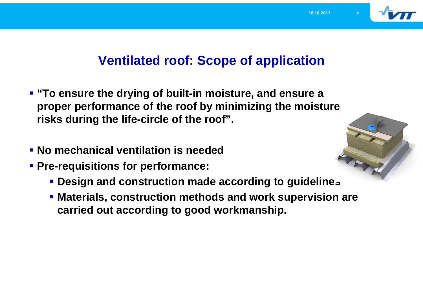

# **Ventilated roof: Scope of application**

- **"To ensure the drying of built-in moisture, and ensure a proper performance of the roof by minimizing the moisture risks during the life-circle of the roof".**
- **No mechanical ventilation is needed**
- **Pre-requisitions for performance:**
	- **Design and construction made according to guidelines**
	- **Materials, construction methods and work supervision are carried out according to good workmanship.**

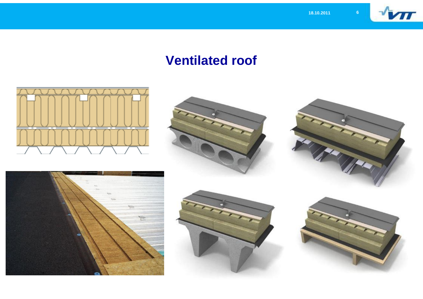

# **Ventilated roof**











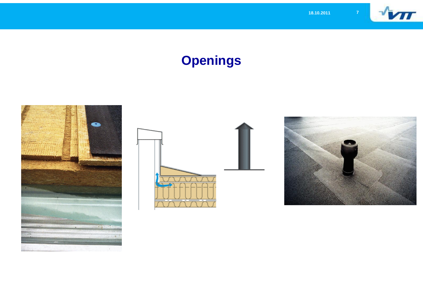

# **Openings**





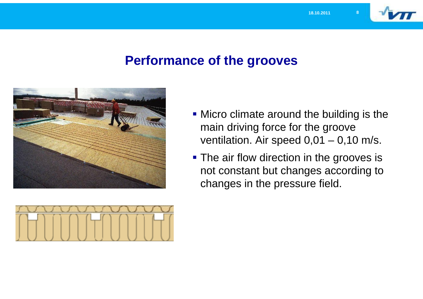

#### **Performance of the grooves**





**The air flow direction in the grooves is** not constant but changes according to changes in the pressure field.

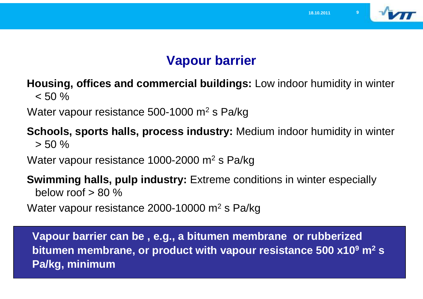

# **Vapour barrier**

**Housing, offices and commercial buildings:** Low indoor humidity in winter  $< 50 \%$ 

Water vapour resistance 500-1000  $\mathrm{m}^2$  s Pa/kg

**Schools, sports halls, process industry:** Medium indoor humidity in winter  $> 50 \%$ 

Water vapour resistance 1000-2000 m<sup>2</sup> s Pa/kg

**Swimming halls, pulp industry:** Extreme conditions in winter especially below roof  $> 80\%$ 

Water vapour resistance 2000-10000 m<sup>2</sup> s Pa/kg

**Vapour barrier can be , e.g., a bitumen membrane or rubberized bitumen membrane, or product with vapour resistance 500 x10<sup>9</sup> m<sup>2</sup> s Pa/kg, minimum**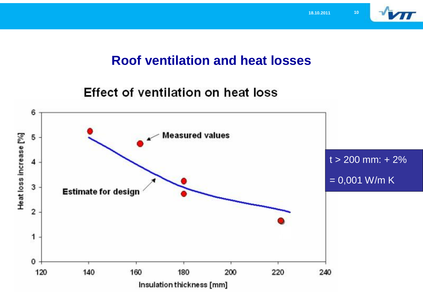

#### **Roof ventilation and heat losses**

Effect of ventilation on heat loss

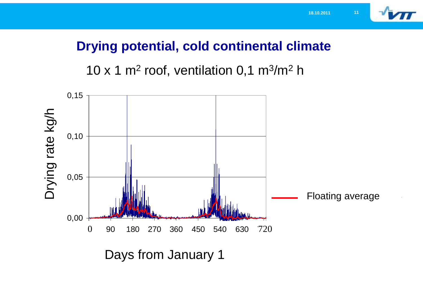

# **Drying potential, cold continental climate**

 $\mathop{\mathrm{nor}}\nolimits$ , ventilation 0,1 m $\mathop{\mathrm{m}}\nolimits$ 10 x 1 m<sup>2</sup> roof, ventilation 0,1 m<sup>3</sup>/m<sup>2</sup> h

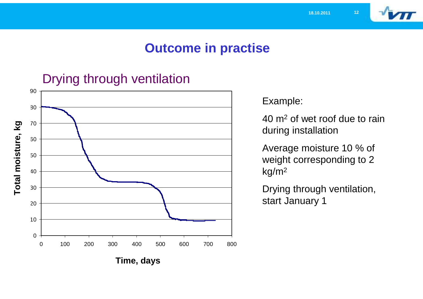

#### **Outcome in practise**

#### Drying through ventilation



Example:

40 m<sup>2</sup> of wet roof due to rain during installation

Average moisture 10 % of weight corresponding to 2 kg/m<sup>2</sup>

Drying through ventilation, start January 1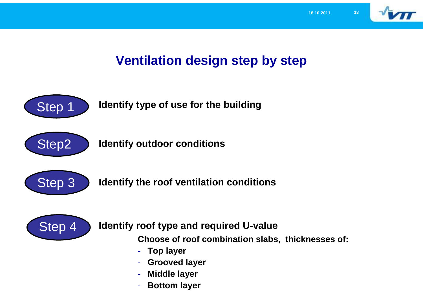

# **Ventilation design step by step**



**Identify type of use for the building**



**Identify outdoor conditions**



**Identify the roof ventilation conditions**



**Identify roof type and required U-value** 

**Choose of roof combination slabs, thicknesses of:**

- **Top layer**
- **Grooved layer**
- **Middle layer**
- **Bottom layer**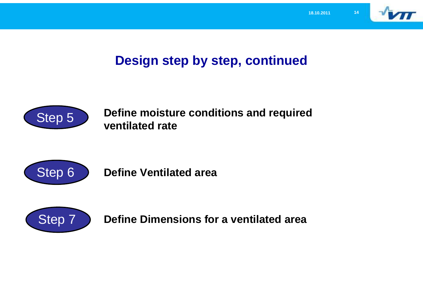

# **Design step by step, continued**



**Define moisture conditions and required ventilated rate**



**Define Ventilated area**



**Define Dimensions for a ventilated area**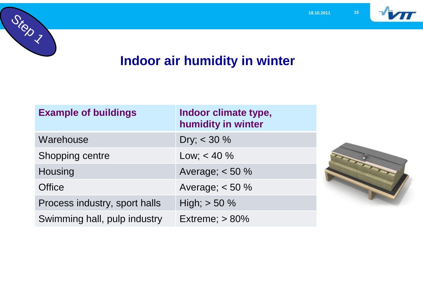

# **Indoor air humidity in winter**

Step 7

| <b>Example of buildings</b>   | Indoor climate type,<br>humidity in winter |
|-------------------------------|--------------------------------------------|
| Warehouse                     | Dry; $< 30 \%$                             |
| Shopping centre               | Low; $< 40 \%$                             |
| Housing                       | Average; $< 50 \%$                         |
| <b>Office</b>                 | Average; $< 50 \%$                         |
| Process industry, sport halls | High; $> 50 \%$                            |
| Swimming hall, pulp industry  | Extreme; $> 80\%$                          |

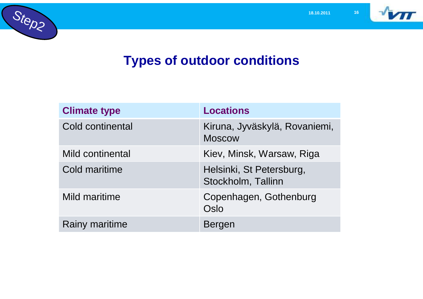

# **Types of outdoor conditions**

| <b>Climate type</b>   | <b>Locations</b>                               |
|-----------------------|------------------------------------------------|
| Cold continental      | Kiruna, Jyväskylä, Rovaniemi,<br><b>Moscow</b> |
| Mild continental      | Kiev, Minsk, Warsaw, Riga                      |
| Cold maritime         | Helsinki, St Petersburg,<br>Stockholm, Tallinn |
| Mild maritime         | Copenhagen, Gothenburg<br>Oslo                 |
| <b>Rainy maritime</b> | <b>Bergen</b>                                  |

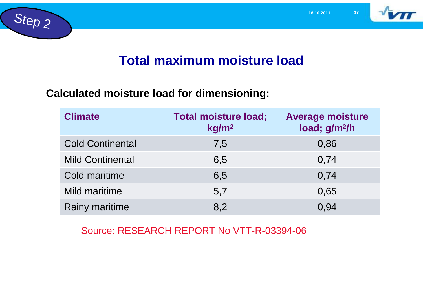



#### **Total maximum moisture load**

#### **Calculated moisture load for dimensioning:**

| <b>Climate</b>          | <b>Total moisture load;</b><br>kg/m <sup>2</sup> | <b>Average moisture</b><br>load; g/m <sup>2</sup> /h |
|-------------------------|--------------------------------------------------|------------------------------------------------------|
| <b>Cold Continental</b> | 7,5                                              | 0,86                                                 |
| <b>Mild Continental</b> | 6,5                                              | 0,74                                                 |
| Cold maritime           | 6,5                                              | 0,74                                                 |
| Mild maritime           | 5,7                                              | 0,65                                                 |
| <b>Rainy maritime</b>   | 8,2                                              | 0,94                                                 |

Source: RESEARCH REPORT No VTT-R-03394-06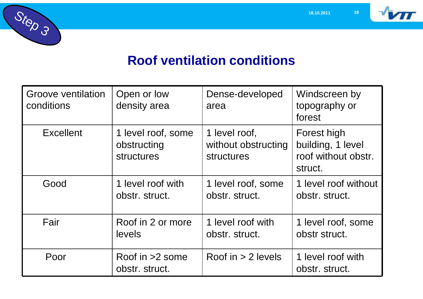



# **Roof ventilation conditions**

| <b>Groove ventilation</b><br>conditions | Open or low<br>density area                            | Dense-developed<br>area                                   | Windscreen by<br>topography or<br>forest                           |
|-----------------------------------------|--------------------------------------------------------|-----------------------------------------------------------|--------------------------------------------------------------------|
| <b>Excellent</b>                        | 1 level roof, some<br>obstructing<br><b>structures</b> | 1 level roof,<br>without obstructing<br><b>structures</b> | Forest high<br>building, 1 level<br>roof without obstr.<br>struct. |
| Good                                    | 1 level roof with<br>obstr. struct.                    | 1 level roof, some<br>obstr. struct.                      | 1 level roof without<br>obstr. struct.                             |
| Fair                                    | Roof in 2 or more<br>levels                            | 1 level roof with<br>obstr. struct.                       | 1 level roof, some<br>obstr struct.                                |
| Poor                                    | Roof in $>2$ some<br>obstr. struct.                    | Roof in $> 2$ levels                                      | 1 level roof with<br>obstr. struct.                                |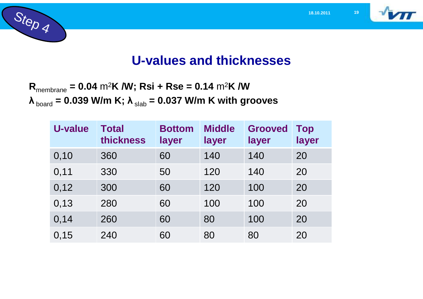





# **U-values and thicknesses**

**R**membrane **= 0.04** m<sup>2</sup>**K /W; Rsi + Rse = 0.14** m<sup>2</sup>**K /W**  $\lambda_{\text{board}} = 0.039$  W/m K;  $\lambda_{\text{slab}} = 0.037$  W/m K with grooves

| U-value | <b>Total</b><br>thickness | <b>Bottom</b><br>layer | <b>Middle</b><br>layer | <b>Grooved</b><br>layer | <b>Top</b><br>layer |
|---------|---------------------------|------------------------|------------------------|-------------------------|---------------------|
| 0,10    | 360                       | 60                     | 140                    | 140                     | 20                  |
| 0,11    | 330                       | 50                     | 120                    | 140                     | 20                  |
| 0,12    | 300                       | 60                     | 120                    | 100                     | 20                  |
| 0,13    | 280                       | 60                     | 100                    | 100                     | 20                  |
| 0,14    | 260                       | 60                     | 80                     | 100                     | 20                  |
| 0,15    | 240                       | 60                     | 80                     | 80                      | 20                  |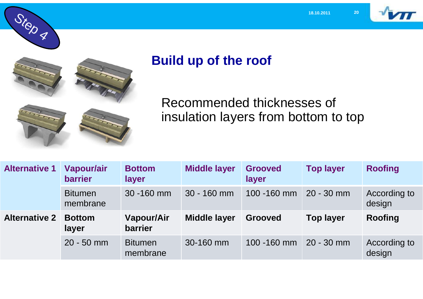





Step 4

# **Build up of the roof**

Recommended thicknesses of insulation layers from bottom to top

| <b>Alternative 1</b> | <b>Vapour/air</b><br><b>barrier</b> | <b>Bottom</b><br>layer       | <b>Middle layer</b> | <b>Grooved</b><br>layer | <b>Top layer</b> | <b>Roofing</b>         |
|----------------------|-------------------------------------|------------------------------|---------------------|-------------------------|------------------|------------------------|
|                      | <b>Bitumen</b><br>membrane          | 30 - 160 mm                  | $30 - 160$ mm       | 100 -160 mm             | $20 - 30$ mm     | According to<br>design |
| <b>Alternative 2</b> |                                     |                              |                     |                         |                  |                        |
|                      | <b>Bottom</b><br>layer              | <b>Vapour/Air</b><br>barrier | <b>Middle layer</b> | <b>Grooved</b>          | <b>Top layer</b> | <b>Roofing</b>         |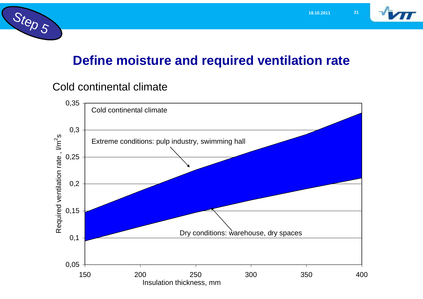



#### **Define moisture and required ventilation rate**

#### Cold continental climate

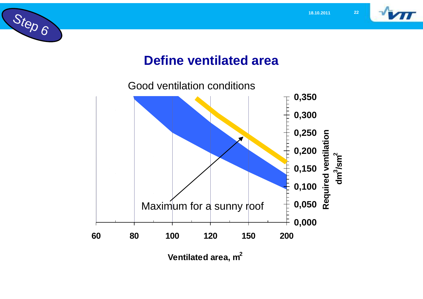



# **Define ventilated area**

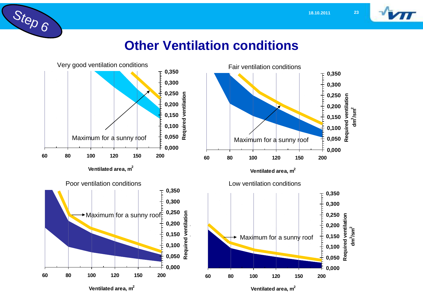

# **Other Ventilation conditions**

Step 6

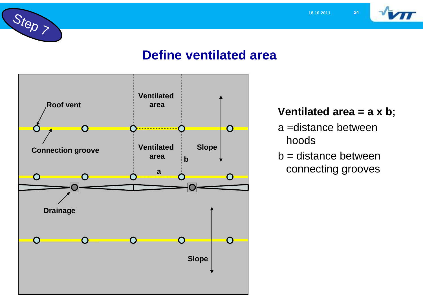

# Step 7

# **Define ventilated area**



#### **Ventilated area = a x b;**

- a =distance between hoods
- b = distance between connecting grooves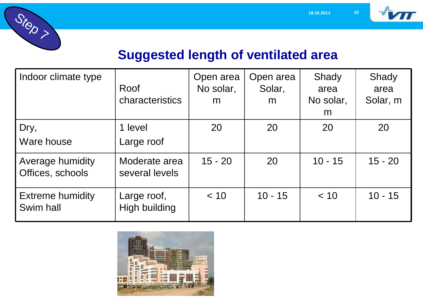





# **Suggested length of ventilated area**

| Indoor climate type                  | Roof<br><b>characteristics</b>      | Open area<br>No solar,<br>m | Open area<br>Solar,<br>m | Shady<br>area<br>No solar,<br>m | Shady<br>area<br>Solar, m |
|--------------------------------------|-------------------------------------|-----------------------------|--------------------------|---------------------------------|---------------------------|
| Dry,<br>Ware house                   | 1 level<br>Large roof               | 20                          | 20                       | 20                              | 20                        |
| Average humidity<br>Offices, schools | Moderate area<br>several levels     | $15 - 20$                   | 20                       | $10 - 15$                       | $15 - 20$                 |
| <b>Extreme humidity</b><br>Swim hall | Large roof,<br><b>High building</b> | < 10                        | $10 - 15$                | < 10                            | $10 - 15$                 |

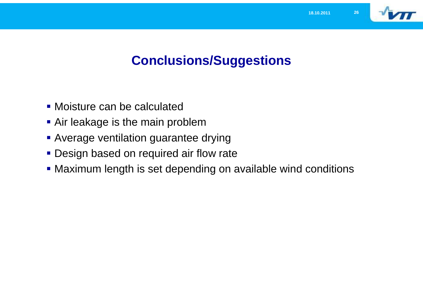

# **Conclusions/Suggestions**

- Moisture can be calculated
- **Air leakage is the main problem**
- **Average ventilation guarantee drying**
- **Design based on required air flow rate**
- Maximum length is set depending on available wind conditions